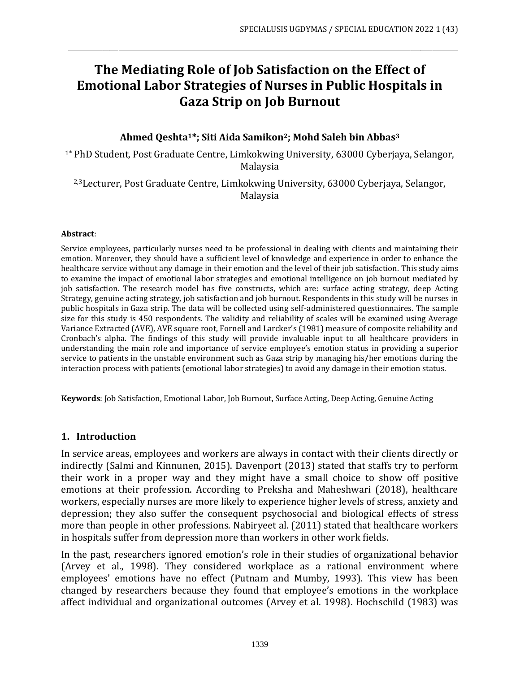# **The Mediating Role of Job Satisfaction on the Effect of Emotional Labor Strategies of Nurses in Public Hospitals in Gaza Strip on Job Burnout**

\_\_\_\_\_\_\_\_\_\_\_\_\_\_\_\_\_\_\_\_\_\_\_\_\_\_\_\_\_\_\_\_\_\_\_\_\_\_\_\_\_\_\_\_\_\_\_\_\_\_\_\_\_\_\_\_\_\_\_\_\_\_\_\_\_\_\_\_\_\_\_\_\_\_\_\_\_\_\_\_\_\_\_\_\_\_\_\_\_\_\_\_\_\_\_\_\_\_\_\_\_\_\_\_\_\_\_\_\_\_\_\_\_\_\_\_\_\_\_\_\_\_\_\_

#### **Ahmed Qeshta1\*; Siti Aida Samikon2; Mohd Saleh bin Abbas<sup>3</sup>**

1\* PhD Student, Post Graduate Centre, Limkokwing University, 63000 Cyberjaya, Selangor, Malaysia

2,3Lecturer, Post Graduate Centre, Limkokwing University, 63000 Cyberjaya, Selangor, Malaysia

#### **Abstract**:

Service employees, particularly nurses need to be professional in dealing with clients and maintaining their emotion. Moreover, they should have a sufficient level of knowledge and experience in order to enhance the healthcare service without any damage in their emotion and the level of their job satisfaction. This study aims to examine the impact of emotional labor strategies and emotional intelligence on job burnout mediated by job satisfaction. The research model has five constructs, which are: surface acting strategy, deep Acting Strategy, genuine acting strategy, job satisfaction and job burnout. Respondents in this study will be nurses in public hospitals in Gaza strip. The data will be collected using self-administered questionnaires. The sample size for this study is 450 respondents. The validity and reliability of scales will be examined using Average Variance Extracted (AVE), AVE square root, Fornell and Larcker's (1981) measure of composite reliability and Cronbach's alpha. The findings of this study will provide invaluable input to all healthcare providers in understanding the main role and importance of service employee's emotion status in providing a superior service to patients in the unstable environment such as Gaza strip by managing his/her emotions during the interaction process with patients (emotional labor strategies) to avoid any damage in their emotion status.

**Keywords**: Job Satisfaction, Emotional Labor, Job Burnout, Surface Acting, Deep Acting, Genuine Acting

#### **1. Introduction**

In service areas, employees and workers are always in contact with their clients directly or indirectly (Salmi and Kinnunen, 2015). Davenport (2013) stated that staffs try to perform their work in a proper way and they might have a small choice to show off positive emotions at their profession. According to Preksha and Maheshwari (2018), healthcare workers, especially nurses are more likely to experience higher levels of stress, anxiety and depression; they also suffer the consequent psychosocial and biological effects of stress more than people in other professions. Nabiryeet al. (2011) stated that healthcare workers in hospitals suffer from depression more than workers in other work fields.

In the past, researchers ignored emotion's role in their studies of organizational behavior (Arvey et al., 1998). They considered workplace as a rational environment where employees' emotions have no effect (Putnam and Mumby, 1993). This view has been changed by researchers because they found that employee's emotions in the workplace affect individual and organizational outcomes (Arvey et al. 1998). Hochschild (1983) was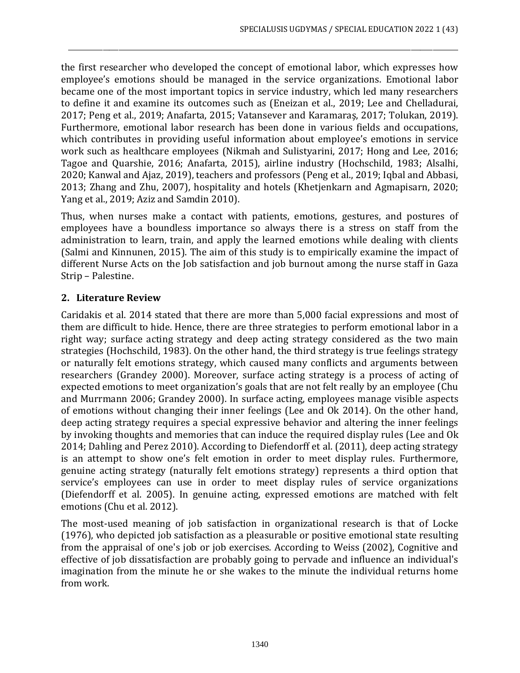the first researcher who developed the concept of emotional labor, which expresses how employee's emotions should be managed in the service organizations. Emotional labor became one of the most important topics in service industry, which led many researchers to define it and examine its outcomes such as (Eneizan et al., 2019; Lee and Chelladurai, 2017; Peng et al., 2019; Anafarta, 2015; Vatansever and Karamaraş, 2017; Tolukan, 2019). Furthermore, emotional labor research has been done in various fields and occupations, which contributes in providing useful information about employee's emotions in service work such as healthcare employees (Nikmah and Sulistyarini, 2017; Hong and Lee, 2016; Tagoe and Quarshie, 2016; Anafarta, 2015), airline industry (Hochschild, 1983; Alsalhi, 2020; Kanwal and Ajaz, 2019), teachers and professors (Peng et al., 2019; Iqbal and Abbasi, 2013; Zhang and Zhu, 2007), hospitality and hotels (Khetjenkarn and Agmapisarn, 2020; Yang et al., 2019; Aziz and Samdin 2010).

\_\_\_\_\_\_\_\_\_\_\_\_\_\_\_\_\_\_\_\_\_\_\_\_\_\_\_\_\_\_\_\_\_\_\_\_\_\_\_\_\_\_\_\_\_\_\_\_\_\_\_\_\_\_\_\_\_\_\_\_\_\_\_\_\_\_\_\_\_\_\_\_\_\_\_\_\_\_\_\_\_\_\_\_\_\_\_\_\_\_\_\_\_\_\_\_\_\_\_\_\_\_\_\_\_\_\_\_\_\_\_\_\_\_\_\_\_\_\_\_\_\_\_\_

Thus, when nurses make a contact with patients, emotions, gestures, and postures of employees have a boundless importance so always there is a stress on staff from the administration to learn, train, and apply the learned emotions while dealing with clients (Salmi and Kinnunen, 2015). The aim of this study is to empirically examine the impact of different Nurse Acts on the Job satisfaction and job burnout among the nurse staff in Gaza Strip – Palestine.

## **2. Literature Review**

Caridakis et al. 2014 stated that there are more than 5,000 facial expressions and most of them are difficult to hide. Hence, there are three strategies to perform emotional labor in a right way; surface acting strategy and deep acting strategy considered as the two main strategies (Hochschild, 1983). On the other hand, the third strategy is true feelings strategy or naturally felt emotions strategy, which caused many conflicts and arguments between researchers (Grandey 2000). Moreover, surface acting strategy is a process of acting of expected emotions to meet organization's goals that are not felt really by an employee (Chu and Murrmann 2006; Grandey 2000). In surface acting, employees manage visible aspects of emotions without changing their inner feelings (Lee and Ok 2014). On the other hand, deep acting strategy requires a special expressive behavior and altering the inner feelings by invoking thoughts and memories that can induce the required display rules (Lee and Ok 2014; Dahling and Perez 2010). According to Diefendorff et al. (2011), deep acting strategy is an attempt to show one's felt emotion in order to meet display rules. Furthermore, genuine acting strategy (naturally felt emotions strategy) represents a third option that service's employees can use in order to meet display rules of service organizations (Diefendorff et al. 2005). In genuine acting, expressed emotions are matched with felt emotions (Chu et al. 2012).

The most-used meaning of job satisfaction in organizational research is that of Locke (1976), who depicted job satisfaction as a pleasurable or positive emotional state resulting from the appraisal of one's job or job exercises. According to Weiss (2002), Cognitive and effective of job dissatisfaction are probably going to pervade and influence an individual's imagination from the minute he or she wakes to the minute the individual returns home from work.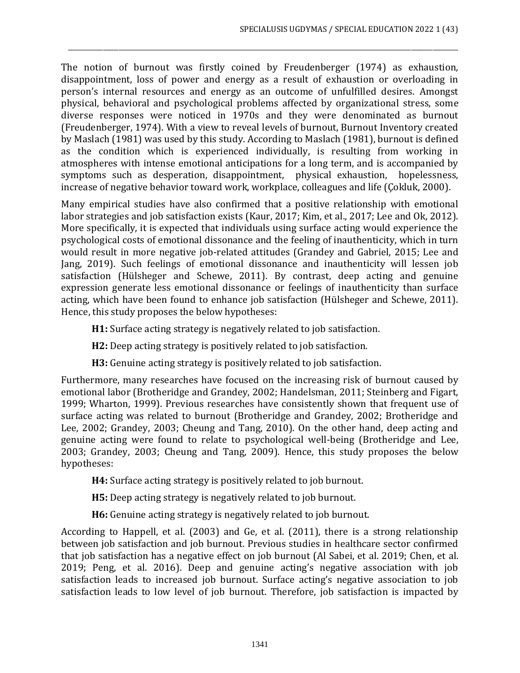The notion of burnout was firstly coined by Freudenberger (1974) as exhaustion, disappointment, loss of power and energy as a result of exhaustion or overloading in person's internal resources and energy as an outcome of unfulfilled desires. Amongst physical, behavioral and psychological problems affected by organizational stress, some diverse responses were noticed in 1970s and they were denominated as burnout (Freudenberger, 1974). With a view to reveal levels of burnout, Burnout Inventory created by Maslach (1981) was used by this study. According to Maslach (1981), burnout is defined as the condition which is experienced individually, is resulting from working in atmospheres with intense emotional anticipations for a long term, and is accompanied by symptoms such as desperation, disappointment, physical exhaustion, hopelessness, increase of negative behavior toward work, workplace, colleagues and life (Çokluk, 2000).

\_\_\_\_\_\_\_\_\_\_\_\_\_\_\_\_\_\_\_\_\_\_\_\_\_\_\_\_\_\_\_\_\_\_\_\_\_\_\_\_\_\_\_\_\_\_\_\_\_\_\_\_\_\_\_\_\_\_\_\_\_\_\_\_\_\_\_\_\_\_\_\_\_\_\_\_\_\_\_\_\_\_\_\_\_\_\_\_\_\_\_\_\_\_\_\_\_\_\_\_\_\_\_\_\_\_\_\_\_\_\_\_\_\_\_\_\_\_\_\_\_\_\_\_

Many empirical studies have also confirmed that a positive relationship with emotional labor strategies and job satisfaction exists (Kaur, 2017; Kim, et al., 2017; Lee and Ok, 2012). More specifically, it is expected that individuals using surface acting would experience the psychological costs of emotional dissonance and the feeling of inauthenticity, which in turn would result in more negative job-related attitudes (Grandey and Gabriel, 2015; Lee and Jang, 2019). Such feelings of emotional dissonance and inauthenticity will lessen job satisfaction (Hülsheger and Schewe, 2011). By contrast, deep acting and genuine expression generate less emotional dissonance or feelings of inauthenticity than surface acting, which have been found to enhance job satisfaction (Hülsheger and Schewe, 2011). Hence, this study proposes the below hypotheses:

**H1:** Surface acting strategy is negatively related to job satisfaction.

**H2:** Deep acting strategy is positively related to job satisfaction.

**H3:** Genuine acting strategy is positively related to job satisfaction.

Furthermore, many researches have focused on the increasing risk of burnout caused by emotional labor (Brotheridge and Grandey, 2002; Handelsman, 2011; Steinberg and Figart, 1999; Wharton, 1999). Previous researches have consistently shown that frequent use of surface acting was related to burnout (Brotheridge and Grandey, 2002; Brotheridge and Lee, 2002; Grandey, 2003; Cheung and Tang, 2010). On the other hand, deep acting and genuine acting were found to relate to psychological well-being (Brotheridge and Lee, 2003; Grandey, 2003; Cheung and Tang, 2009). Hence, this study proposes the below hypotheses:

**H4:** Surface acting strategy is positively related to job burnout.

**H5:** Deep acting strategy is negatively related to job burnout.

**H6:** Genuine acting strategy is negatively related to job burnout.

According to Happell, et al. (2003) and Ge, et al. (2011), there is a strong relationship between job satisfaction and job burnout. Previous studies in healthcare sector confirmed that job satisfaction has a negative effect on job burnout (Al Sabei, et al. 2019; Chen, et al. 2019; Peng, et al. 2016). Deep and genuine acting's negative association with job satisfaction leads to increased job burnout. Surface acting's negative association to job satisfaction leads to low level of job burnout. Therefore, job satisfaction is impacted by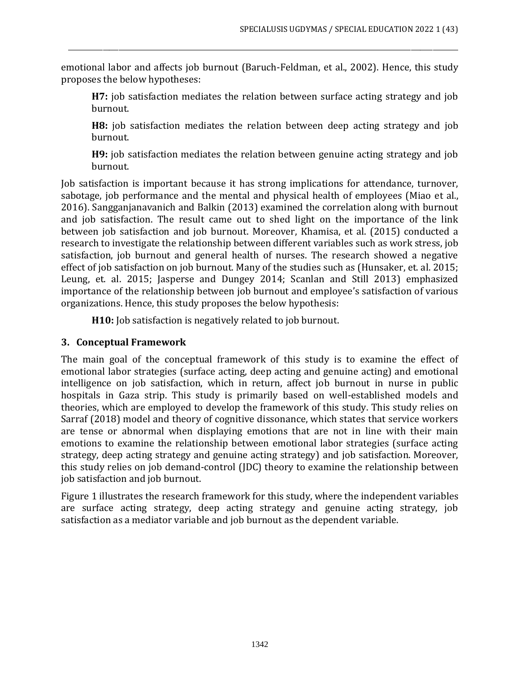emotional labor and affects job burnout (Baruch-Feldman, et al., 2002). Hence, this study proposes the below hypotheses:

\_\_\_\_\_\_\_\_\_\_\_\_\_\_\_\_\_\_\_\_\_\_\_\_\_\_\_\_\_\_\_\_\_\_\_\_\_\_\_\_\_\_\_\_\_\_\_\_\_\_\_\_\_\_\_\_\_\_\_\_\_\_\_\_\_\_\_\_\_\_\_\_\_\_\_\_\_\_\_\_\_\_\_\_\_\_\_\_\_\_\_\_\_\_\_\_\_\_\_\_\_\_\_\_\_\_\_\_\_\_\_\_\_\_\_\_\_\_\_\_\_\_\_\_

**H7:** job satisfaction mediates the relation between surface acting strategy and job burnout.

**H8:** job satisfaction mediates the relation between deep acting strategy and job burnout.

**H9:** job satisfaction mediates the relation between genuine acting strategy and job burnout.

Job satisfaction is important because it has strong implications for attendance, turnover, sabotage, job performance and the mental and physical health of employees (Miao et al., 2016). Sangganjanavanich and Balkin (2013) examined the correlation along with burnout and job satisfaction. The result came out to shed light on the importance of the link between job satisfaction and job burnout. Moreover, Khamisa, et al. (2015) conducted a research to investigate the relationship between different variables such as work stress, job satisfaction, job burnout and general health of nurses. The research showed a negative effect of job satisfaction on job burnout. Many of the studies such as (Hunsaker, et. al. 2015; Leung, et. al. 2015; Jasperse and Dungey 2014; Scanlan and Still 2013) emphasized importance of the relationship between job burnout and employee's satisfaction of various organizations. Hence, this study proposes the below hypothesis:

**H10:** Job satisfaction is negatively related to job burnout.

#### **3. Conceptual Framework**

The main goal of the conceptual framework of this study is to examine the effect of emotional labor strategies (surface acting, deep acting and genuine acting) and emotional intelligence on job satisfaction, which in return, affect job burnout in nurse in public hospitals in Gaza strip. This study is primarily based on well-established models and theories, which are employed to develop the framework of this study. This study relies on Sarraf (2018) model and theory of cognitive dissonance, which states that service workers are tense or abnormal when displaying emotions that are not in line with their main emotions to examine the relationship between emotional labor strategies (surface acting strategy, deep acting strategy and genuine acting strategy) and job satisfaction. Moreover, this study relies on job demand-control (JDC) theory to examine the relationship between job satisfaction and job burnout.

Figure 1 illustrates the research framework for this study, where the independent variables are surface acting strategy, deep acting strategy and genuine acting strategy, job satisfaction as a mediator variable and job burnout as the dependent variable.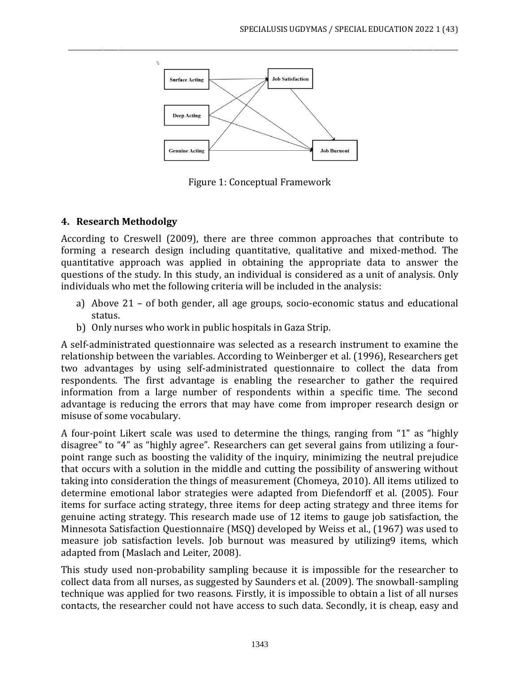

\_\_\_\_\_\_\_\_\_\_\_\_\_\_\_\_\_\_\_\_\_\_\_\_\_\_\_\_\_\_\_\_\_\_\_\_\_\_\_\_\_\_\_\_\_\_\_\_\_\_\_\_\_\_\_\_\_\_\_\_\_\_\_\_\_\_\_\_\_\_\_\_\_\_\_\_\_\_\_\_\_\_\_\_\_\_\_\_\_\_\_\_\_\_\_\_\_\_\_\_\_\_\_\_\_\_\_\_\_\_\_\_\_\_\_\_\_\_\_\_\_\_\_\_

Figure 1: Conceptual Framework

# **4. Research Methodolgy**

According to Creswell (2009), there are three common approaches that contribute to forming a research design including quantitative, qualitative and mixed-method. The quantitative approach was applied in obtaining the appropriate data to answer the questions of the study. In this study, an individual is considered as a unit of analysis. Only individuals who met the following criteria will be included in the analysis:

- a) Above 21 of both gender, all age groups, socio-economic status and educational status.
- b) Only nurses who work in public hospitals in Gaza Strip.

A self-administrated questionnaire was selected as a research instrument to examine the relationship between the variables. According to Weinberger et al. (1996), Researchers get two advantages by using self-administrated questionnaire to collect the data from respondents. The first advantage is enabling the researcher to gather the required information from a large number of respondents within a specific time. The second advantage is reducing the errors that may have come from improper research design or misuse of some vocabulary.

A four-point Likert scale was used to determine the things, ranging from "1" as "highly disagree" to "4" as "highly agree". Researchers can get several gains from utilizing a fourpoint range such as boosting the validity of the inquiry, minimizing the neutral prejudice that occurs with a solution in the middle and cutting the possibility of answering without taking into consideration the things of measurement (Chomeya, 2010). All items utilized to determine emotional labor strategies were adapted from Diefendorff et al. (2005). Four items for surface acting strategy, three items for deep acting strategy and three items for genuine acting strategy. This research made use of 12 items to gauge job satisfaction, the Minnesota Satisfaction Questionnaire (MSQ) developed by Weiss et al., (1967) was used to measure job satisfaction levels. Job burnout was measured by utilizing9 items, which adapted from (Maslach and Leiter, 2008).

This study used non-probability sampling because it is impossible for the researcher to collect data from all nurses, as suggested by Saunders et al. (2009). The snowball-sampling technique was applied for two reasons. Firstly, it is impossible to obtain a list of all nurses contacts, the researcher could not have access to such data. Secondly, it is cheap, easy and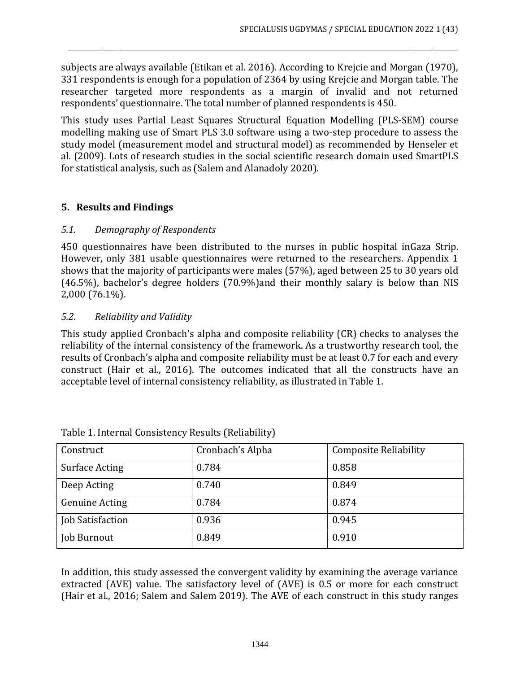subjects are always available (Etikan et al. 2016). According to Krejcie and Morgan (1970), 331 respondents is enough for a population of 2364 by using Krejcie and Morgan table. The researcher targeted more respondents as a margin of invalid and not returned respondents' questionnaire. The total number of planned respondents is 450.

\_\_\_\_\_\_\_\_\_\_\_\_\_\_\_\_\_\_\_\_\_\_\_\_\_\_\_\_\_\_\_\_\_\_\_\_\_\_\_\_\_\_\_\_\_\_\_\_\_\_\_\_\_\_\_\_\_\_\_\_\_\_\_\_\_\_\_\_\_\_\_\_\_\_\_\_\_\_\_\_\_\_\_\_\_\_\_\_\_\_\_\_\_\_\_\_\_\_\_\_\_\_\_\_\_\_\_\_\_\_\_\_\_\_\_\_\_\_\_\_\_\_\_\_

This study uses Partial Least Squares Structural Equation Modelling (PLS-SEM) course modelling making use of Smart PLS 3.0 software using a two-step procedure to assess the study model (measurement model and structural model) as recommended by Henseler et al. (2009). Lots of research studies in the social scientific research domain used SmartPLS for statistical analysis, such as (Salem and Alanadoly 2020).

## **5. Results and Findings**

## *5.1. Demography of Respondents*

450 questionnaires have been distributed to the nurses in public hospital inGaza Strip. However, only 381 usable questionnaires were returned to the researchers. Appendix 1 shows that the majority of participants were males (57%), aged between 25 to 30 years old (46.5%), bachelor's degree holders (70.9%)and their monthly salary is below than NIS 2,000 (76.1%).

## *5.2. Reliability and Validity*

This study applied Cronbach's alpha and composite reliability (CR) checks to analyses the reliability of the internal consistency of the framework. As a trustworthy research tool, the results of Cronbach's alpha and composite reliability must be at least 0.7 for each and every construct (Hair et al., 2016). The outcomes indicated that all the constructs have an acceptable level of internal consistency reliability, as illustrated in Table 1.

| Construct             | Cronbach's Alpha | <b>Composite Reliability</b> |
|-----------------------|------------------|------------------------------|
| <b>Surface Acting</b> | 0.784            | 0.858                        |
| Deep Acting           | 0.740            | 0.849                        |
| <b>Genuine Acting</b> | 0.784            | 0.874                        |
| Job Satisfaction      | 0.936            | 0.945                        |
| Job Burnout           | 0.849            | 0.910                        |

|  |  | Table 1. Internal Consistency Results (Reliability) |
|--|--|-----------------------------------------------------|
|  |  |                                                     |

In addition, this study assessed the convergent validity by examining the average variance extracted (AVE) value. The satisfactory level of (AVE) is 0.5 or more for each construct (Hair et al., 2016; Salem and Salem 2019). The AVE of each construct in this study ranges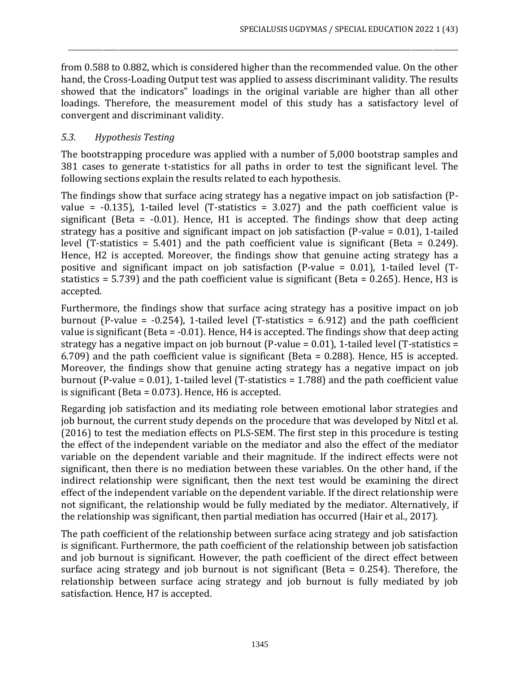from 0.588 to 0.882, which is considered higher than the recommended value. On the other hand, the Cross-Loading Output test was applied to assess discriminant validity. The results showed that the indicators" loadings in the original variable are higher than all other loadings. Therefore, the measurement model of this study has a satisfactory level of convergent and discriminant validity.

\_\_\_\_\_\_\_\_\_\_\_\_\_\_\_\_\_\_\_\_\_\_\_\_\_\_\_\_\_\_\_\_\_\_\_\_\_\_\_\_\_\_\_\_\_\_\_\_\_\_\_\_\_\_\_\_\_\_\_\_\_\_\_\_\_\_\_\_\_\_\_\_\_\_\_\_\_\_\_\_\_\_\_\_\_\_\_\_\_\_\_\_\_\_\_\_\_\_\_\_\_\_\_\_\_\_\_\_\_\_\_\_\_\_\_\_\_\_\_\_\_\_\_\_

#### *5.3. Hypothesis Testing*

The bootstrapping procedure was applied with a number of 5,000 bootstrap samples and 381 cases to generate t-statistics for all paths in order to test the significant level. The following sections explain the results related to each hypothesis.

The findings show that surface acing strategy has a negative impact on job satisfaction (Pvalue =  $-0.135$ ), 1-tailed level (T-statistics = 3.027) and the path coefficient value is significant (Beta =  $-0.01$ ). Hence, H1 is accepted. The findings show that deep acting strategy has a positive and significant impact on job satisfaction (P-value = 0.01), 1-tailed level (T-statistics = 5.401) and the path coefficient value is significant (Beta =  $0.249$ ). Hence, H2 is accepted. Moreover, the findings show that genuine acting strategy has a positive and significant impact on job satisfaction (P-value = 0.01), 1-tailed level (Tstatistics = 5.739) and the path coefficient value is significant (Beta = 0.265). Hence, H3 is accepted.

Furthermore, the findings show that surface acing strategy has a positive impact on job burnout (P-value =  $-0.254$ ), 1-tailed level (T-statistics = 6.912) and the path coefficient value is significant (Beta = -0.01). Hence, H4 is accepted. The findings show that deep acting strategy has a negative impact on job burnout (P-value = 0.01), 1-tailed level (T-statistics = 6.709) and the path coefficient value is significant (Beta = 0.288). Hence, H5 is accepted. Moreover, the findings show that genuine acting strategy has a negative impact on job burnout (P-value = 0.01), 1-tailed level (T-statistics = 1.788) and the path coefficient value is significant (Beta = 0.073). Hence, H6 is accepted.

Regarding job satisfaction and its mediating role between emotional labor strategies and job burnout, the current study depends on the procedure that was developed by Nitzl et al. (2016) to test the mediation effects on PLS-SEM. The first step in this procedure is testing the effect of the independent variable on the mediator and also the effect of the mediator variable on the dependent variable and their magnitude. If the indirect effects were not significant, then there is no mediation between these variables. On the other hand, if the indirect relationship were significant, then the next test would be examining the direct effect of the independent variable on the dependent variable. If the direct relationship were not significant, the relationship would be fully mediated by the mediator. Alternatively, if the relationship was significant, then partial mediation has occurred (Hair et al., 2017).

The path coefficient of the relationship between surface acing strategy and job satisfaction is significant. Furthermore, the path coefficient of the relationship between job satisfaction and job burnout is significant. However, the path coefficient of the direct effect between surface acing strategy and job burnout is not significant (Beta = 0.254). Therefore, the relationship between surface acing strategy and job burnout is fully mediated by job satisfaction. Hence, H7 is accepted.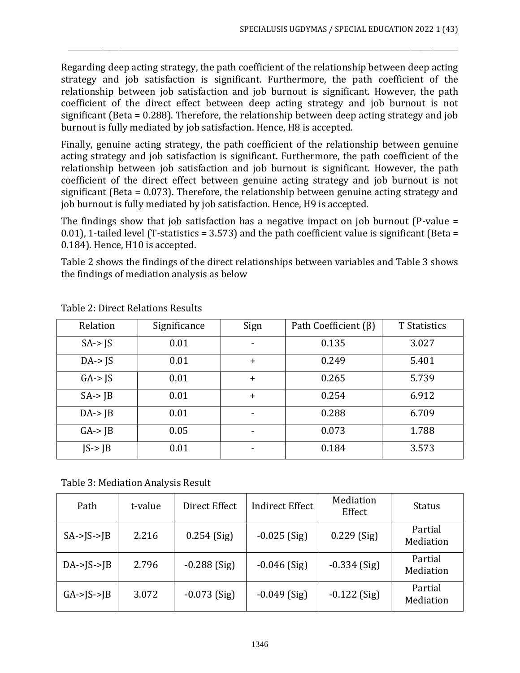Regarding deep acting strategy, the path coefficient of the relationship between deep acting strategy and job satisfaction is significant. Furthermore, the path coefficient of the relationship between job satisfaction and job burnout is significant. However, the path coefficient of the direct effect between deep acting strategy and job burnout is not significant (Beta = 0.288). Therefore, the relationship between deep acting strategy and job burnout is fully mediated by job satisfaction. Hence, H8 is accepted.

\_\_\_\_\_\_\_\_\_\_\_\_\_\_\_\_\_\_\_\_\_\_\_\_\_\_\_\_\_\_\_\_\_\_\_\_\_\_\_\_\_\_\_\_\_\_\_\_\_\_\_\_\_\_\_\_\_\_\_\_\_\_\_\_\_\_\_\_\_\_\_\_\_\_\_\_\_\_\_\_\_\_\_\_\_\_\_\_\_\_\_\_\_\_\_\_\_\_\_\_\_\_\_\_\_\_\_\_\_\_\_\_\_\_\_\_\_\_\_\_\_\_\_\_

Finally, genuine acting strategy, the path coefficient of the relationship between genuine acting strategy and job satisfaction is significant. Furthermore, the path coefficient of the relationship between job satisfaction and job burnout is significant. However, the path coefficient of the direct effect between genuine acting strategy and job burnout is not significant (Beta = 0.073). Therefore, the relationship between genuine acting strategy and job burnout is fully mediated by job satisfaction. Hence, H9 is accepted.

The findings show that job satisfaction has a negative impact on job burnout (P-value = 0.01), 1-tailed level (T-statistics = 3.573) and the path coefficient value is significant (Beta = 0.184). Hence, H10 is accepted.

Table 2 shows the findings of the direct relationships between variables and Table 3 shows the findings of mediation analysis as below

| Relation      | Significance | Sign           | Path Coefficient $(\beta)$ | <b>T</b> Statistics |
|---------------|--------------|----------------|----------------------------|---------------------|
| $SA \geq JS$  | 0.01         |                | 0.135                      | 3.027               |
| $DA$ -> $IS$  | 0.01         | $+$            | 0.249                      | 5.401               |
| $GA \geq JS$  | 0.01         | $+$            | 0.265                      | 5.739               |
| $SA \geq  B $ | 0.01         | $+$            | 0.254                      | 6.912               |
| $DA$ -> $JB$  | 0.01         | $\blacksquare$ | 0.288                      | 6.709               |
| $GA$ -> $JB$  | 0.05         |                | 0.073                      | 1.788               |
| $JS$ -> $JB$  | 0.01         |                | 0.184                      | 3.573               |

Table 2: Direct Relations Results

Table 3: Mediation Analysis Result

| Path                 | t-value | Direct Effect  | <b>Indirect Effect</b> | Mediation<br>Effect | <b>Status</b>        |
|----------------------|---------|----------------|------------------------|---------------------|----------------------|
| $SA->S->IB$          | 2.216   | $0.254$ (Sig)  | $-0.025$ (Sig)         | $0.229$ (Sig)       | Partial<br>Mediation |
| $DA$ -> $ S$ -> $ B$ | 2.796   | $-0.288$ (Sig) | $-0.046$ (Sig)         | $-0.334$ (Sig)      | Partial<br>Mediation |
| $GA$ -> $S$ -> $IB$  | 3.072   | $-0.073$ (Sig) | $-0.049$ (Sig)         | $-0.122$ (Sig)      | Partial<br>Mediation |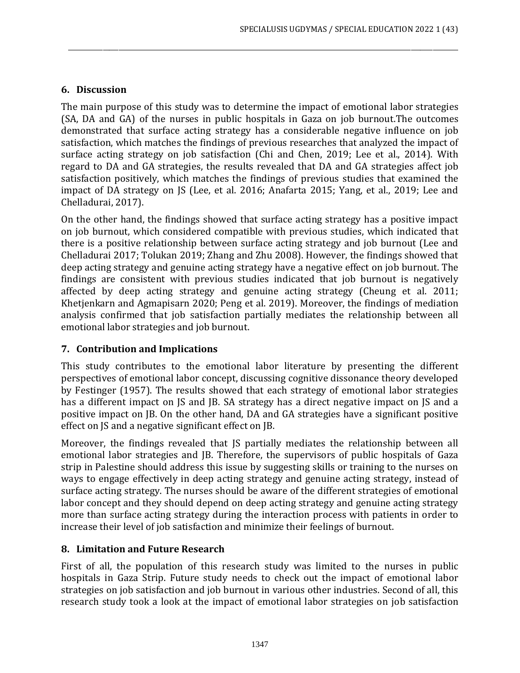# **6. Discussion**

The main purpose of this study was to determine the impact of emotional labor strategies (SA, DA and GA) of the nurses in public hospitals in Gaza on job burnout.The outcomes demonstrated that surface acting strategy has a considerable negative influence on job satisfaction, which matches the findings of previous researches that analyzed the impact of surface acting strategy on job satisfaction (Chi and Chen, 2019; Lee et al., 2014). With regard to DA and GA strategies, the results revealed that DA and GA strategies affect job satisfaction positively, which matches the findings of previous studies that examined the impact of DA strategy on JS (Lee, et al. 2016; Anafarta 2015; Yang, et al., 2019; Lee and Chelladurai, 2017).

\_\_\_\_\_\_\_\_\_\_\_\_\_\_\_\_\_\_\_\_\_\_\_\_\_\_\_\_\_\_\_\_\_\_\_\_\_\_\_\_\_\_\_\_\_\_\_\_\_\_\_\_\_\_\_\_\_\_\_\_\_\_\_\_\_\_\_\_\_\_\_\_\_\_\_\_\_\_\_\_\_\_\_\_\_\_\_\_\_\_\_\_\_\_\_\_\_\_\_\_\_\_\_\_\_\_\_\_\_\_\_\_\_\_\_\_\_\_\_\_\_\_\_\_

On the other hand, the findings showed that surface acting strategy has a positive impact on job burnout, which considered compatible with previous studies, which indicated that there is a positive relationship between surface acting strategy and job burnout (Lee and Chelladurai 2017; Tolukan 2019; Zhang and Zhu 2008). However, the findings showed that deep acting strategy and genuine acting strategy have a negative effect on job burnout. The findings are consistent with previous studies indicated that job burnout is negatively affected by deep acting strategy and genuine acting strategy (Cheung et al. 2011; Khetjenkarn and Agmapisarn 2020; Peng et al. 2019). Moreover, the findings of mediation analysis confirmed that job satisfaction partially mediates the relationship between all emotional labor strategies and job burnout.

# **7. Contribution and Implications**

This study contributes to the emotional labor literature by presenting the different perspectives of emotional labor concept, discussing cognitive dissonance theory developed by Festinger (1957). The results showed that each strategy of emotional labor strategies has a different impact on JS and JB. SA strategy has a direct negative impact on JS and a positive impact on JB. On the other hand, DA and GA strategies have a significant positive effect on JS and a negative significant effect on JB.

Moreover, the findings revealed that JS partially mediates the relationship between all emotional labor strategies and JB. Therefore, the supervisors of public hospitals of Gaza strip in Palestine should address this issue by suggesting skills or training to the nurses on ways to engage effectively in deep acting strategy and genuine acting strategy, instead of surface acting strategy. The nurses should be aware of the different strategies of emotional labor concept and they should depend on deep acting strategy and genuine acting strategy more than surface acting strategy during the interaction process with patients in order to increase their level of job satisfaction and minimize their feelings of burnout.

# **8. Limitation and Future Research**

First of all, the population of this research study was limited to the nurses in public hospitals in Gaza Strip. Future study needs to check out the impact of emotional labor strategies on job satisfaction and job burnout in various other industries. Second of all, this research study took a look at the impact of emotional labor strategies on job satisfaction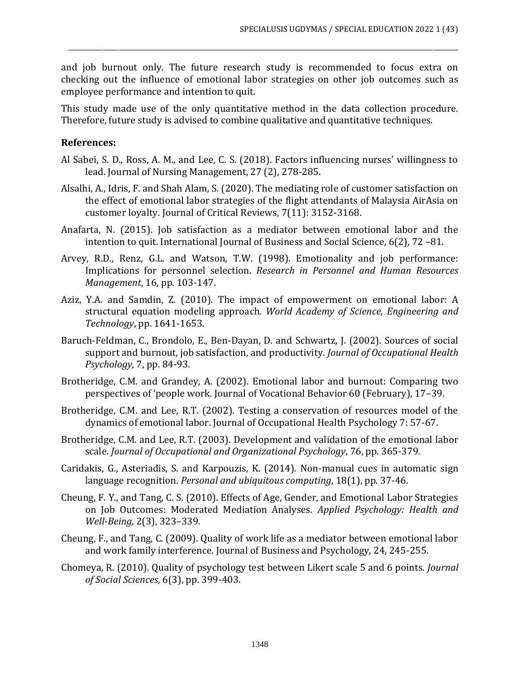and job burnout only. The future research study is recommended to focus extra on checking out the influence of emotional labor strategies on other job outcomes such as employee performance and intention to quit.

\_\_\_\_\_\_\_\_\_\_\_\_\_\_\_\_\_\_\_\_\_\_\_\_\_\_\_\_\_\_\_\_\_\_\_\_\_\_\_\_\_\_\_\_\_\_\_\_\_\_\_\_\_\_\_\_\_\_\_\_\_\_\_\_\_\_\_\_\_\_\_\_\_\_\_\_\_\_\_\_\_\_\_\_\_\_\_\_\_\_\_\_\_\_\_\_\_\_\_\_\_\_\_\_\_\_\_\_\_\_\_\_\_\_\_\_\_\_\_\_\_\_\_\_

This study made use of the only quantitative method in the data collection procedure. Therefore, future study is advised to combine qualitative and quantitative techniques.

#### **References:**

- Al Sabei, S. D., Ross, A. M., and Lee, C. S. (2018). Factors influencing nurses' willingness to lead. Journal of Nursing Management, 27 (2), 278-285.
- Alsalhi, A., Idris, F. and Shah Alam, S. (2020). The mediating role of customer satisfaction on the effect of emotional labor strategies of the flight attendants of Malaysia AirAsia on customer loyalty. Journal of Critical Reviews, 7(11): 3152-3168.
- Anafarta, N. (2015). Job satisfaction as a mediator between emotional labor and the intention to quit. International Journal of Business and Social Science, 6(2), 72 –81.
- Arvey, R.D., Renz, G.L. and Watson, T.W. (1998). Emotionality and job performance: Implications for personnel selection. *Research in Personnel and Human Resources Management*, 16, pp. 103-147.
- Aziz, Y.A. and Samdin, Z. (2010). The impact of empowerment on emotional labor: A structural equation modeling approach. *World Academy of Science, Engineering and Technology*, pp. 1641-1653.
- Baruch-Feldman, C., Brondolo, E., Ben-Dayan, D. and Schwartz, J. (2002). Sources of social support and burnout, job satisfaction, and productivity. *Journal of Occupational Health Psychology,* 7, pp. 84-93.
- Brotheridge, C.M. and Grandey, A. (2002). Emotional labor and burnout: Comparing two perspectives of 'people work. Journal of Vocational Behavior 60 (February), 17–39.
- Brotheridge, C.M. and Lee, R.T. (2002). Testing a conservation of resources model of the dynamics of emotional labor. Journal of Occupational Health Psychology 7: 57-67.
- Brotheridge, C.M. and Lee, R.T. (2003). Development and validation of the emotional labor scale. *Journal of Occupational and Organizational Psychology*, 76, pp. 365-379.
- Caridakis, G., Asteriadis, S. and Karpouzis, K. (2014). Non-manual cues in automatic sign language recognition. *Personal and ubiquitous computing*, 18(1), pp. 37-46.
- Cheung, F. Y., and Tang, C. S. (2010). Effects of Age, Gender, and Emotional Labor Strategies on Job Outcomes: Moderated Mediation Analyses. *Applied Psychology: Health and Well-Being,* 2(3), 323–339.
- Cheung, F., and Tang, C. (2009). Quality of work life as a mediator between emotional labor and work family interference. Journal of Business and Psychology, 24, 245-255.
- Chomeya, R. (2010). Quality of psychology test between Likert scale 5 and 6 points. *Journal of Social Sciences,* 6(3), pp. 399-403.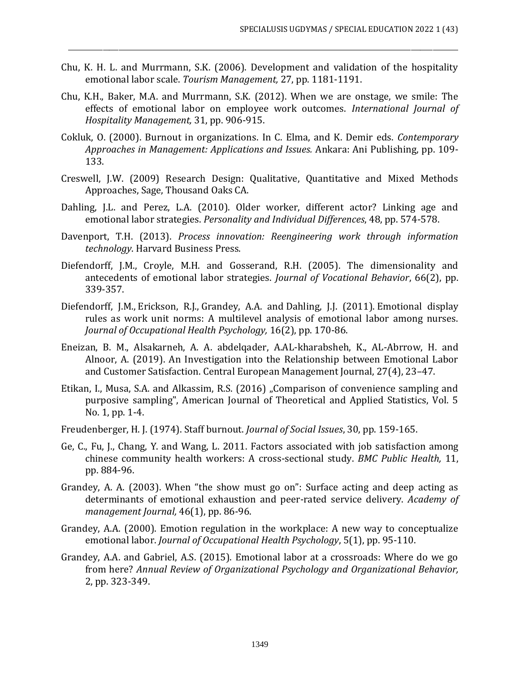Chu, K. H. L. and Murrmann, S.K. (2006). Development and validation of the hospitality emotional labor scale. *Tourism Management,* 27, pp. 1181-1191.

- Chu, K.H., Baker, M.A. and Murrmann, S.K. (2012). When we are onstage, we smile: The effects of emotional labor on employee work outcomes. *International Journal of Hospitality Management,* 31, pp. 906-915.
- Cokluk, O. (2000). Burnout in organizations. In C. Elma, and K. Demir eds. *Contemporary Approaches in Management: Applications and Issues.* Ankara: Ani Publishing, pp. 109- 133.
- Creswell, J.W. (2009) Research Design: Qualitative, Quantitative and Mixed Methods Approaches, Sage, Thousand Oaks CA.
- Dahling, J.L. and Perez, L.A. (2010). Older worker, different actor? Linking age and emotional labor strategies. *Personality and Individual Differences*, 48, pp. 574-578.
- Davenport, T.H. (2013). *Process innovation: Reengineering work through information technology*. Harvard Business Press.
- Diefendorff, J.M., Croyle, M.H. and Gosserand, R.H. (2005). The dimensionality and antecedents of emotional labor strategies. *Journal of Vocational Behavior*, 66(2), pp. 339-357.
- Diefendorff, J.M., Erickson, R.J., Grandey, A.A. and Dahling, J.J. (2011). Emotional display rules as work unit norms: A multilevel analysis of emotional labor among nurses. *Journal of Occupational Health Psychology,* 16(2), pp. 170-86.
- Eneizan, B. M., Alsakarneh, A. A. abdelqader, A.AL-kharabsheh, K., AL-Abrrow, H. and Alnoor, A. (2019). An Investigation into the Relationship between Emotional Labor and Customer Satisfaction. Central European Management Journal, 27(4), 23–47.
- Etikan, I., Musa, S.A. and Alkassim, R.S. (2016) "Comparison of convenience sampling and purposive sampling", American Journal of Theoretical and Applied Statistics, Vol. 5 No. 1, pp. 1-4.
- Freudenberger, H. J. (1974). Staff burnout. *Journal of Social Issues*, 30, pp. 159-165.
- Ge, C., Fu, J., Chang, Y. and Wang, L. 2011. Factors associated with job satisfaction among chinese community health workers: A cross-sectional study. *BMC Public Health,* 11, pp. 884-96.
- Grandey, A. A. (2003). When "the show must go on": Surface acting and deep acting as determinants of emotional exhaustion and peer-rated service delivery. *Academy of management Journal,* 46(1), pp. 86-96.
- Grandey, A.A. (2000). Emotion regulation in the workplace: A new way to conceptualize emotional labor. *Journal of Occupational Health Psychology*, 5(1), pp. 95-110.
- Grandey, A.A. and Gabriel, A.S. (2015). Emotional labor at a crossroads: Where do we go from here? *Annual Review of Organizational Psychology and Organizational Behavior,* 2, pp. 323-349.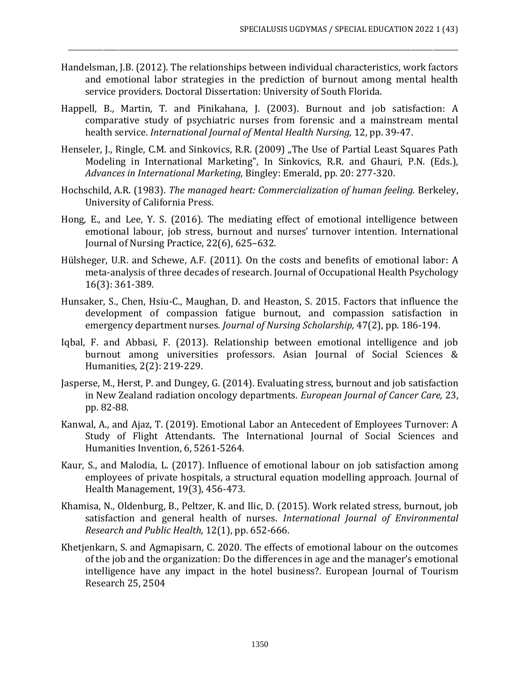Handelsman, J.B. (2012). The relationships between individual characteristics, work factors and emotional labor strategies in the prediction of burnout among mental health service providers. Doctoral Dissertation: University of South Florida.

- Happell, B., Martin, T. and Pinikahana, J. (2003). Burnout and job satisfaction: A comparative study of psychiatric nurses from forensic and a mainstream mental health service. *International Journal of Mental Health Nursing,* 12, pp. 39-47.
- Henseler, J., Ringle, C.M. and Sinkovics, R.R. (2009) "The Use of Partial Least Squares Path Modeling in International Marketing", In Sinkovics, R.R. and Ghauri, P.N. (Eds.), *Advances in International Marketing,* Bingley: Emerald, pp. 20: 277-320.
- Hochschild, A.R. (1983). *The managed heart: Commercialization of human feeling.* Berkeley, University of California Press.
- Hong, E., and Lee, Y. S. (2016). The mediating effect of emotional intelligence between emotional labour, job stress, burnout and nurses' turnover intention. International Journal of Nursing Practice, 22(6), 625–632.
- Hülsheger, U.R. and Schewe, A.F. (2011). On the costs and benefits of emotional labor: A meta-analysis of three decades of research. Journal of Occupational Health Psychology 16(3): 361-389.
- Hunsaker, S., Chen, Hsiu-C., Maughan, D. and Heaston, S. 2015. Factors that influence the development of compassion fatigue burnout, and compassion satisfaction in emergency department nurses. *Journal of Nursing Scholarship,* 47(2), pp. 186-194.
- Iqbal, F. and Abbasi, F. (2013). Relationship between emotional intelligence and job burnout among universities professors. Asian Journal of Social Sciences & Humanities, 2(2): 219-229.
- Jasperse, M., Herst, P. and Dungey, G. (2014). Evaluating stress, burnout and job satisfaction in New Zealand radiation oncology departments. *European Journal of Cancer Care,* 23, pp. 82-88.
- Kanwal, A., and Ajaz, T. (2019). Emotional Labor an Antecedent of Employees Turnover: A Study of Flight Attendants. The International Journal of Social Sciences and Humanities Invention, 6, 5261-5264.
- Kaur, S., and Malodia, L. (2017). Influence of emotional labour on job satisfaction among employees of private hospitals, a structural equation modelling approach. Journal of Health Management, 19(3), 456-473.
- Khamisa, N., Oldenburg, B., Peltzer, K. and Ilic, D. (2015). Work related stress, burnout, job satisfaction and general health of nurses. *International Journal of Environmental Research and Public Health,* 12(1), pp. 652-666.
- Khetjenkarn, S. and Agmapisarn, C. 2020. The effects of emotional labour on the outcomes of the job and the organization: Do the differences in age and the manager's emotional intelligence have any impact in the hotel business?. European Journal of Tourism Research 25, 2504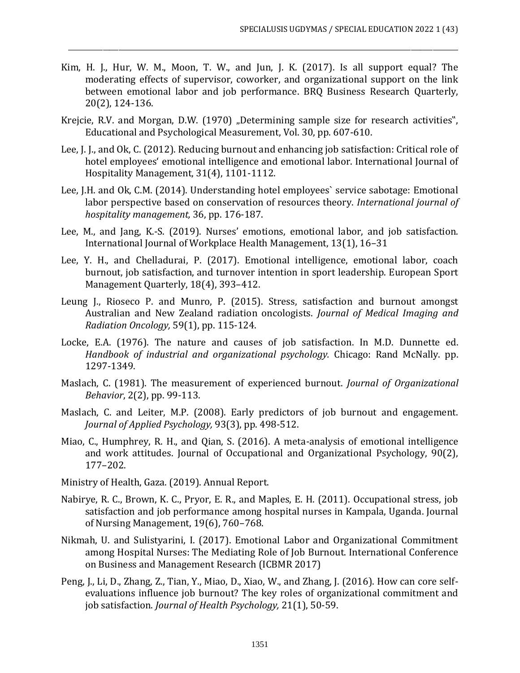Kim, H. J., Hur, W. M., Moon, T. W., and Jun, J. K. (2017). Is all support equal? The moderating effects of supervisor, coworker, and organizational support on the link between emotional labor and job performance. BRQ Business Research Quarterly, 20(2), 124-136.

- Krejcie, R.V. and Morgan, D.W. (1970) "Determining sample size for research activities", Educational and Psychological Measurement, Vol. 30, pp. 607-610.
- Lee, J. J., and Ok, C. (2012). Reducing burnout and enhancing job satisfaction: Critical role of hotel employees' emotional intelligence and emotional labor. International Journal of Hospitality Management, 31(4), 1101-1112.
- Lee, J.H. and Ok, C.M. (2014). Understanding hotel employees` service sabotage: Emotional labor perspective based on conservation of resources theory. *International journal of hospitality management,* 36, pp. 176-187.
- Lee, M., and Jang, K.-S. (2019). Nurses' emotions, emotional labor, and job satisfaction. International Journal of Workplace Health Management, 13(1), 16–31
- Lee, Y. H., and Chelladurai, P. (2017). Emotional intelligence, emotional labor, coach burnout, job satisfaction, and turnover intention in sport leadership. European Sport Management Quarterly, 18(4), 393–412.
- Leung J., Rioseco P. and Munro, P. (2015). Stress, satisfaction and burnout amongst Australian and New Zealand radiation oncologists. *Journal of Medical Imaging and Radiation Oncology,* 59(1), pp. 115-124.
- Locke, E.A. (1976). The nature and causes of job satisfaction. In M.D. Dunnette ed. *Handbook of industrial and organizational psychology.* Chicago: Rand McNally. pp. 1297-1349.
- Maslach, C. (1981). The measurement of experienced burnout. *Journal of Organizational Behavior*, 2(2), pp. 99-113.
- Maslach, C. and Leiter, M.P. (2008). Early predictors of job burnout and engagement. *Journal of Applied Psychology,* 93(3), pp. 498-512.
- Miao, C., Humphrey, R. H., and Qian, S. (2016). A meta-analysis of emotional intelligence and work attitudes. Journal of Occupational and Organizational Psychology, 90(2), 177–202.
- Ministry of Health, Gaza. (2019). Annual Report.
- Nabirye, R. C., Brown, K. C., Pryor, E. R., and Maples, E. H. (2011). Occupational stress, job satisfaction and job performance among hospital nurses in Kampala, Uganda. Journal of Nursing Management, 19(6), 760–768.
- Nikmah, U. and Sulistyarini, I. (2017). Emotional Labor and Organizational Commitment among Hospital Nurses: The Mediating Role of Job Burnout. International Conference on Business and Management Research (ICBMR 2017)
- Peng, J., Li, D., Zhang, Z., Tian, Y., Miao, D., Xiao, W., and Zhang, J. (2016). How can core selfevaluations influence job burnout? The key roles of organizational commitment and job satisfaction. *Journal of Health Psychology,* 21(1), 50-59.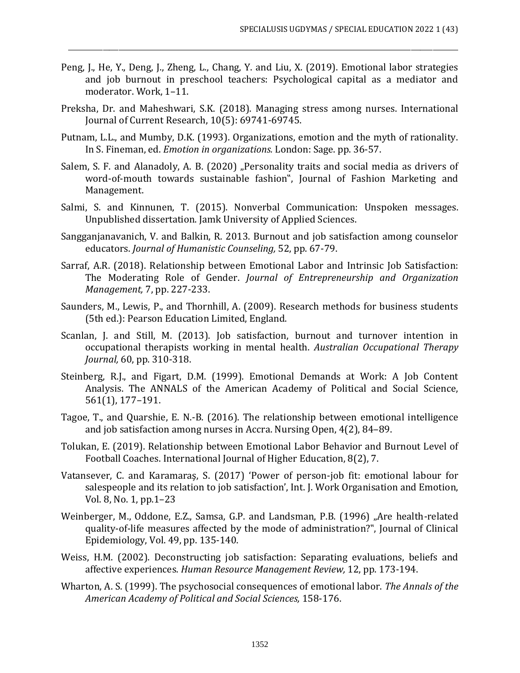Peng, J., He, Y., Deng, J., Zheng, L., Chang, Y. and Liu, X. (2019). Emotional labor strategies and job burnout in preschool teachers: Psychological capital as a mediator and moderator. Work, 1–11.

- Preksha, Dr. and Maheshwari, S.K. (2018). Managing stress among nurses. International Journal of Current Research, 10(5): 69741-69745.
- Putnam, L.L., and Mumby, D.K. (1993). Organizations, emotion and the myth of rationality. In S. Fineman, ed. *Emotion in organizations.* London: Sage. pp. 36-57.
- Salem, S. F. and Alanadoly, A. B. (2020) "Personality traits and social media as drivers of word-of-mouth towards sustainable fashion", Journal of Fashion Marketing and Management.
- Salmi, S. and Kinnunen, T. (2015). Nonverbal Communication: Unspoken messages. Unpublished dissertation. Jamk University of Applied Sciences.
- Sangganjanavanich, V. and Balkin, R. 2013. Burnout and job satisfaction among counselor educators. *Journal of Humanistic Counseling,* 52, pp. 67-79.
- Sarraf, A.R. (2018). Relationship between Emotional Labor and Intrinsic Job Satisfaction: The Moderating Role of Gender. *Journal of Entrepreneurship and Organization Management,* 7, pp. 227-233.
- Saunders, M., Lewis, P., and Thornhill, A. (2009). Research methods for business students (5th ed.): Pearson Education Limited, England.
- Scanlan, J. and Still, M. (2013). Job satisfaction, burnout and turnover intention in occupational therapists working in mental health. *Australian Occupational Therapy Journal,* 60, pp. 310-318.
- Steinberg, R.J., and Figart, D.M. (1999). Emotional Demands at Work: A Job Content Analysis. The ANNALS of the American Academy of Political and Social Science, 561(1), 177–191.
- Tagoe, T., and Quarshie, E. N.-B. (2016). The relationship between emotional intelligence and job satisfaction among nurses in Accra. Nursing Open, 4(2), 84–89.
- Tolukan, E. (2019). Relationship between Emotional Labor Behavior and Burnout Level of Football Coaches. International Journal of Higher Education, 8(2), 7.
- Vatansever, C. and Karamaraş, S. (2017) 'Power of person-job fit: emotional labour for salespeople and its relation to job satisfaction', Int. J. Work Organisation and Emotion, Vol. 8, No. 1, pp.1–23
- Weinberger, M., Oddone, E.Z., Samsa, G.P. and Landsman, P.B. (1996) "Are health-related quality-of-life measures affected by the mode of administration?", Journal of Clinical Epidemiology, Vol. 49, pp. 135-140.
- Weiss, H.M. (2002). Deconstructing job satisfaction: Separating evaluations, beliefs and affective experiences. *Human Resource Management Review,* 12, pp. 173-194.
- Wharton, A. S. (1999). The psychosocial consequences of emotional labor. *The Annals of the American Academy of Political and Social Sciences,* 158-176.